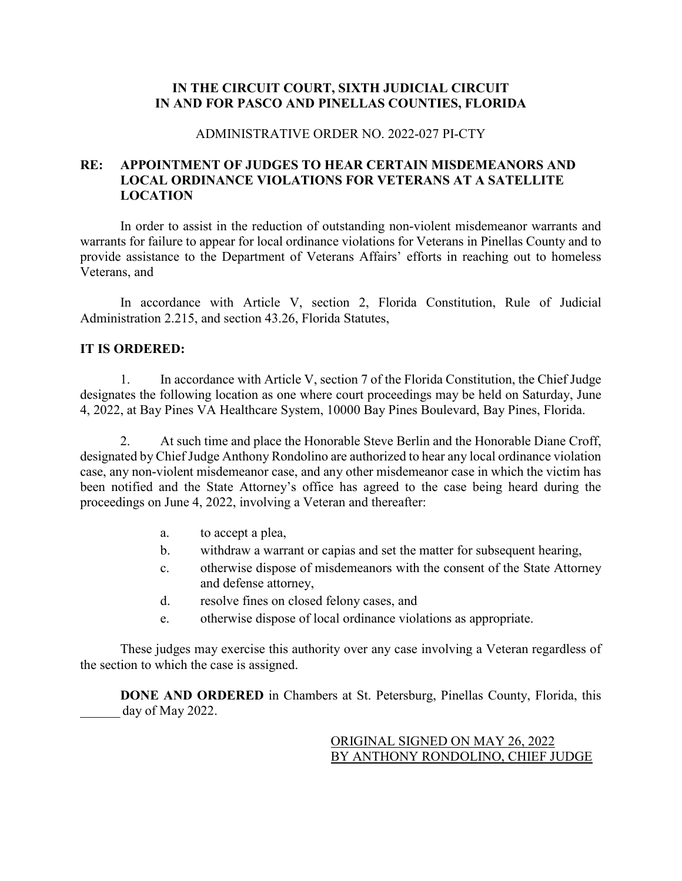## **IN THE CIRCUIT COURT, SIXTH JUDICIAL CIRCUIT IN AND FOR PASCO AND PINELLAS COUNTIES, FLORIDA**

### ADMINISTRATIVE ORDER NO. 2022-027 PI-CTY

# **RE: APPOINTMENT OF JUDGES TO HEAR CERTAIN MISDEMEANORS AND LOCAL ORDINANCE VIOLATIONS FOR VETERANS AT A SATELLITE LOCATION**

In order to assist in the reduction of outstanding non-violent misdemeanor warrants and warrants for failure to appear for local ordinance violations for Veterans in Pinellas County and to provide assistance to the Department of Veterans Affairs' efforts in reaching out to homeless Veterans, and

In accordance with Article V, section 2, Florida Constitution, Rule of Judicial Administration 2.215, and section 43.26, Florida Statutes,

### **IT IS ORDERED:**

1. In accordance with Article V, section 7 of the Florida Constitution, the Chief Judge designates the following location as one where court proceedings may be held on Saturday, June 4, 2022, at Bay Pines VA Healthcare System, 10000 Bay Pines Boulevard, Bay Pines, Florida.

2. At such time and place the Honorable Steve Berlin and the Honorable Diane Croff, designated by Chief Judge Anthony Rondolino are authorized to hear any local ordinance violation case, any non-violent misdemeanor case, and any other misdemeanor case in which the victim has been notified and the State Attorney's office has agreed to the case being heard during the proceedings on June 4, 2022, involving a Veteran and thereafter:

- a. to accept a plea,
- b. withdraw a warrant or capias and set the matter for subsequent hearing,
- c. otherwise dispose of misdemeanors with the consent of the State Attorney and defense attorney,
- d. resolve fines on closed felony cases, and
- e. otherwise dispose of local ordinance violations as appropriate.

These judges may exercise this authority over any case involving a Veteran regardless of the section to which the case is assigned.

**DONE AND ORDERED** in Chambers at St. Petersburg, Pinellas County, Florida, this day of May 2022.

> ORIGINAL SIGNED ON MAY 26, 2022 BY ANTHONY RONDOLINO, CHIEF JUDGE